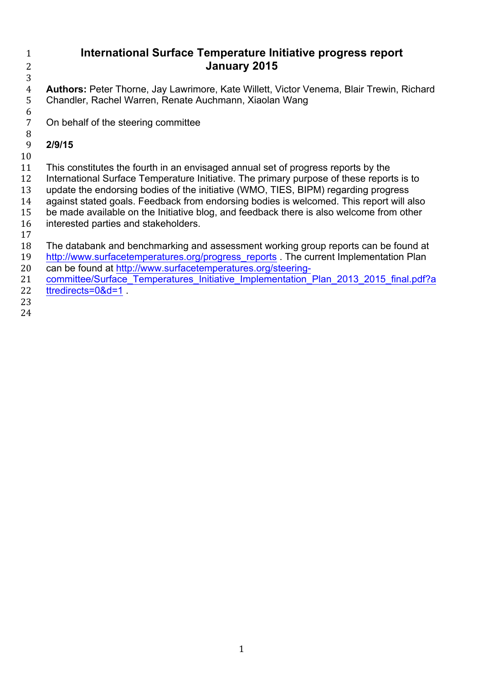## **International Surface Temperature Initiative progress report January 2015**

 **Authors:** Peter Thorne, Jay Lawrimore, Kate Willett, Victor Venema, Blair Trewin, Richard Chandler, Rachel Warren, Renate Auchmann, Xiaolan Wang

 On behalf of the steering committee

#### **2/9/15**

This constitutes the fourth in an envisaged annual set of progress reports by the

International Surface Temperature Initiative. The primary purpose of these reports is to

- update the endorsing bodies of the initiative (WMO, TIES, BIPM) regarding progress against stated goals. Feedback from endorsing bodies is welcomed. This report will also be made available on the Initiative blog, and feedback there is also welcome from other
- interested parties and stakeholders.
- 

The databank and benchmarking and assessment working group reports can be found at

- 19 http://www.surfacetemperatures.org/progress\_reports . The current Implementation Plan can be found at http://www.surfacetemperatures.org/steering-
- 21 committee/Surface Temperatures Initiative Implementation Plan 2013 2015 final.pdf?a ttredirects=0&d=1 .
- 
-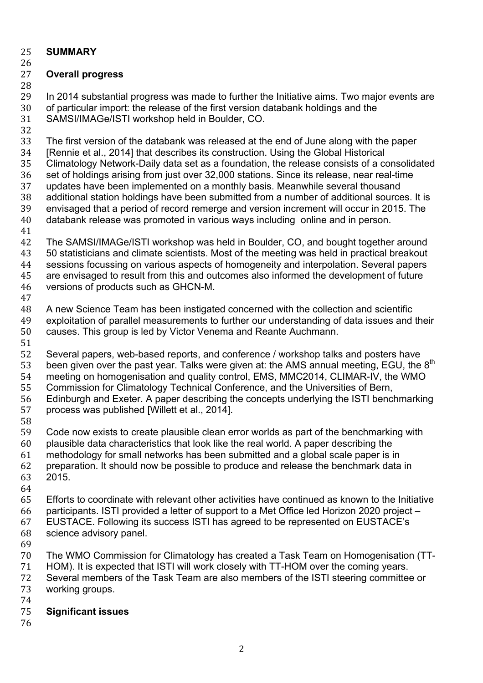## **SUMMARY**

# **Overall progress**

 In 2014 substantial progress was made to further the Initiative aims. Two major events are of particular import: the release of the first version databank holdings and the SAMSI/IMAGe/ISTI workshop held in Boulder, CO.

 The first version of the databank was released at the end of June along with the paper [Rennie et al., 2014] that describes its construction. Using the Global Historical Climatology Network-Daily data set as a foundation, the release consists of a consolidated set of holdings arising from just over 32,000 stations. Since its release, near real-time updates have been implemented on a monthly basis. Meanwhile several thousand additional station holdings have been submitted from a number of additional sources. It is envisaged that a period of record remerge and version increment will occur in 2015. The databank release was promoted in various ways including online and in person. The SAMSI/IMAGe/ISTI workshop was held in Boulder, CO, and bought together around

 50 statisticians and climate scientists. Most of the meeting was held in practical breakout sessions focussing on various aspects of homogeneity and interpolation. Several papers are envisaged to result from this and outcomes also informed the development of future versions of products such as GHCN-M.

 A new Science Team has been instigated concerned with the collection and scientific exploitation of parallel measurements to further our understanding of data issues and their causes. This group is led by Victor Venema and Reante Auchmann. 

 Several papers, web-based reports, and conference / workshop talks and posters have 53 been given over the past year. Talks were given at: the AMS annual meeting, EGU, the  $8<sup>th</sup>$  meeting on homogenisation and quality control, EMS, MMC2014, CLIMAR-IV, the WMO Commission for Climatology Technical Conference, and the Universities of Bern, Edinburgh and Exeter. A paper describing the concepts underlying the ISTI benchmarking

- process was published [Willett et al., 2014].
- 

 Code now exists to create plausible clean error worlds as part of the benchmarking with plausible data characteristics that look like the real world. A paper describing the methodology for small networks has been submitted and a global scale paper is in

- preparation. It should now be possible to produce and release the benchmark data in 2015.
- 

Efforts to coordinate with relevant other activities have continued as known to the Initiative

participants. ISTI provided a letter of support to a Met Office led Horizon 2020 project –

 EUSTACE. Following its success ISTI has agreed to be represented on EUSTACE's science advisory panel.

The WMO Commission for Climatology has created a Task Team on Homogenisation (TT-

HOM). It is expected that ISTI will work closely with TT-HOM over the coming years.

 Several members of the Task Team are also members of the ISTI steering committee or working groups.

## **Significant issues**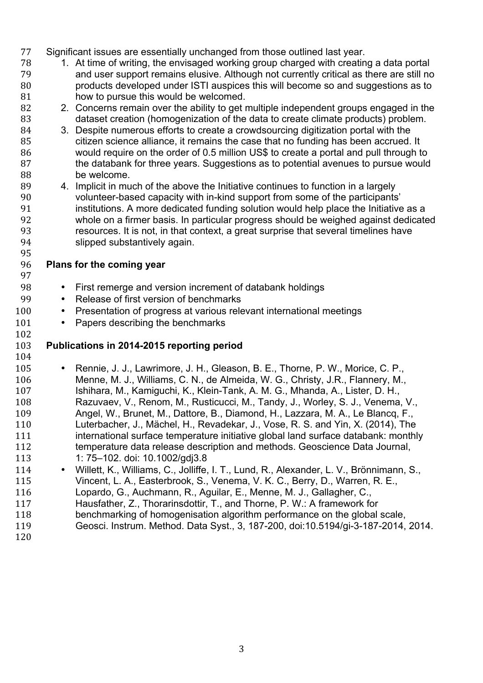- Significant issues are essentially unchanged from those outlined last year.
- 1. At time of writing, the envisaged working group charged with creating a data portal and user support remains elusive. Although not currently critical as there are still no products developed under ISTI auspices this will become so and suggestions as to how to pursue this would be welcomed.
- 2. Concerns remain over the ability to get multiple independent groups engaged in the dataset creation (homogenization of the data to create climate products) problem.
- 3. Despite numerous efforts to create a crowdsourcing digitization portal with the citizen science alliance, it remains the case that no funding has been accrued. It would require on the order of 0.5 million US\$ to create a portal and pull through to 87 the databank for three years. Suggestions as to potential avenues to pursue would be welcome.
- 4. Implicit in much of the above the Initiative continues to function in a largely volunteer-based capacity with in-kind support from some of the participants' institutions. A more dedicated funding solution would help place the Initiative as a whole on a firmer basis. In particular progress should be weighed against dedicated resources. It is not, in that context, a great surprise that several timelines have slipped substantively again.
- **Plans for the coming year**
- 

- 98 First remerge and version increment of databank holdings<br>99 Release of first version of benchmarks
	- Release of first version of benchmarks
- 100 Presentation of progress at various relevant international meetings
- 101 Papers describing the benchmarks
- 

## **Publications in 2014-2015 reporting period**

- 105 • Rennie, J. J., Lawrimore, J. H., Gleason, B. E., Thorne, P. W., Morice, C. P., 106 • Menne. M. J., Williams. C. N., de Almeida. W. G., Christy. J.R., Flannery. M., Menne, M. J., Williams, C. N., de Almeida, W. G., Christy, J.R., Flannery, M., Ishihara, M., Kamiguchi, K., Klein-Tank, A. M. G., Mhanda, A., Lister, D. H., Razuvaev, V., Renom, M., Rusticucci, M., Tandy, J., Worley, S. J., Venema, V., Angel, W., Brunet, M., Dattore, B., Diamond, H., Lazzara, M. A., Le Blancq, F., Luterbacher, J., Mächel, H., Revadekar, J., Vose, R. S. and Yin, X. (2014), The international surface temperature initiative global land surface databank: monthly temperature data release description and methods. Geoscience Data Journal, 1: 75–102. doi: 10.1002/gdj3.8
- 114 Willett, K., Williams, C., Jolliffe, I. T., Lund, R., Alexander, L. V., Brönnimann, S., Vincent, L. A., Easterbrook, S., Venema, V. K. C., Berry, D., Warren, R. E.,
- Lopardo, G., Auchmann, R., Aguilar, E., Menne, M. J., Gallagher, C.,
- Hausfather, Z., Thorarinsdottir, T., and Thorne, P. W.: A framework for
- benchmarking of homogenisation algorithm performance on the global scale,
- Geosci. Instrum. Method. Data Syst., 3, 187-200, doi:10.5194/gi-3-187-2014, 2014.
-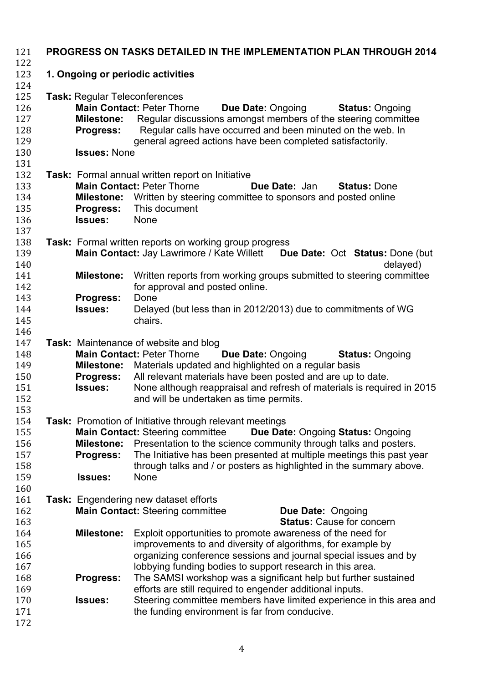| 121<br>122                                    | PROGRESS ON TASKS DETAILED IN THE IMPLEMENTATION PLAN THROUGH 2014                                   |                                                                                                                                                                                                                                                                                                                                                                                          |  |  |  |  |
|-----------------------------------------------|------------------------------------------------------------------------------------------------------|------------------------------------------------------------------------------------------------------------------------------------------------------------------------------------------------------------------------------------------------------------------------------------------------------------------------------------------------------------------------------------------|--|--|--|--|
| 123<br>124                                    | 1. Ongoing or periodic activities                                                                    |                                                                                                                                                                                                                                                                                                                                                                                          |  |  |  |  |
| 125<br>126<br>127<br>128<br>129<br>130        | <b>Task: Regular Teleconferences</b><br><b>Milestone:</b><br><b>Progress:</b><br><b>Issues: None</b> | <b>Main Contact: Peter Thorne</b><br><b>Due Date: Ongoing</b><br><b>Status: Ongoing</b><br>Regular discussions amongst members of the steering committee<br>Regular calls have occurred and been minuted on the web. In<br>general agreed actions have been completed satisfactorily.                                                                                                    |  |  |  |  |
| 131                                           |                                                                                                      |                                                                                                                                                                                                                                                                                                                                                                                          |  |  |  |  |
| 132<br>133<br>134<br>135<br>136<br>137        | <b>Progress:</b><br><b>Issues:</b>                                                                   | Task: Formal annual written report on Initiative<br><b>Main Contact: Peter Thorne</b><br>Due Date: Jan<br><b>Status: Done</b><br><b>Milestone:</b> Written by steering committee to sponsors and posted online<br>This document<br>None                                                                                                                                                  |  |  |  |  |
| 138<br>139<br>140                             |                                                                                                      | <b>Task:</b> Formal written reports on working group progress<br>Main Contact: Jay Lawrimore / Kate Willett Due Date: Oct Status: Done (but<br>delayed)                                                                                                                                                                                                                                  |  |  |  |  |
| 141<br>142<br>143                             | <b>Milestone:</b><br><b>Progress:</b>                                                                | Written reports from working groups submitted to steering committee<br>for approval and posted online.<br>Done                                                                                                                                                                                                                                                                           |  |  |  |  |
| 144<br>145<br>146                             | <b>Issues:</b>                                                                                       | Delayed (but less than in 2012/2013) due to commitments of WG<br>chairs.                                                                                                                                                                                                                                                                                                                 |  |  |  |  |
| 147<br>148<br>149<br>150<br>151<br>152<br>153 | <b>Milestone:</b><br><b>Progress:</b><br><b>Issues:</b>                                              | Task: Maintenance of website and blog<br><b>Main Contact: Peter Thorne</b><br><b>Due Date: Ongoing</b><br><b>Status: Ongoing</b><br>Materials updated and highlighted on a regular basis<br>All relevant materials have been posted and are up to date.<br>None although reappraisal and refresh of materials is required in 2015<br>and will be undertaken as time permits.             |  |  |  |  |
| 154<br>155<br>156<br>157<br>158<br>159<br>160 | <b>Milestone:</b><br><b>Progress:</b><br><b>Issues:</b>                                              | <b>Task:</b> Promotion of Initiative through relevant meetings<br><b>Main Contact: Steering committee</b><br><b>Due Date: Ongoing Status: Ongoing</b><br>Presentation to the science community through talks and posters.<br>The Initiative has been presented at multiple meetings this past year<br>through talks and / or posters as highlighted in the summary above.<br><b>None</b> |  |  |  |  |
| 161<br>162<br>163                             |                                                                                                      | Task: Engendering new dataset efforts<br><b>Main Contact: Steering committee</b><br>Due Date: Ongoing<br><b>Status: Cause for concern</b>                                                                                                                                                                                                                                                |  |  |  |  |
| 164<br>165<br>166<br>167                      | <b>Milestone:</b>                                                                                    | Exploit opportunities to promote awareness of the need for<br>improvements to and diversity of algorithms, for example by<br>organizing conference sessions and journal special issues and by<br>lobbying funding bodies to support research in this area.                                                                                                                               |  |  |  |  |
| 168<br>169<br>170<br>171<br>172               | <b>Progress:</b><br><b>Issues:</b>                                                                   | The SAMSI workshop was a significant help but further sustained<br>efforts are still required to engender additional inputs.<br>Steering committee members have limited experience in this area and<br>the funding environment is far from conducive.                                                                                                                                    |  |  |  |  |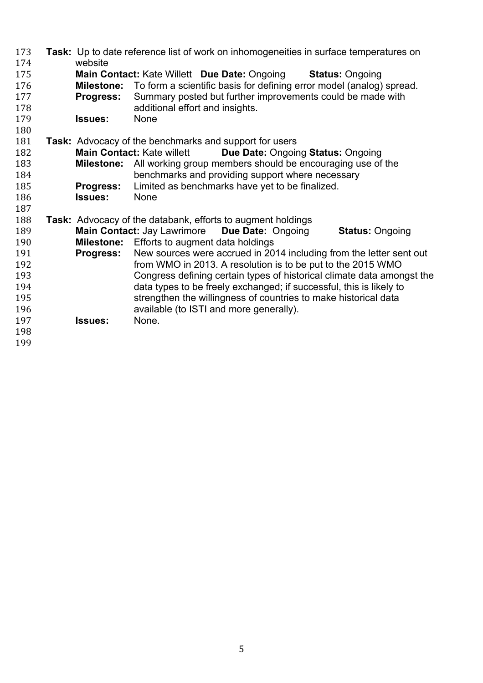| 173<br>174 | website           | Task: Up to date reference list of work on inhomogeneities in surface temperatures on                                              |
|------------|-------------------|------------------------------------------------------------------------------------------------------------------------------------|
| 175        |                   | <b>Main Contact: Kate Willett Due Date: Ongoing</b><br><b>Status: Ongoing</b>                                                      |
| 176        | <b>Milestone:</b> | To form a scientific basis for defining error model (analog) spread.                                                               |
| 177        | Progress:         | Summary posted but further improvements could be made with                                                                         |
| 178        |                   | additional effort and insights.                                                                                                    |
| 179        | <b>Issues:</b>    | None                                                                                                                               |
| 180        |                   |                                                                                                                                    |
| 181        |                   | <b>Task:</b> Advocacy of the benchmarks and support for users                                                                      |
| 182        |                   | <b>Main Contact: Kate willett</b><br>Due Date: Ongoing Status: Ongoing                                                             |
| 183        | <b>Milestone:</b> | All working group members should be encouraging use of the                                                                         |
| 184        |                   | benchmarks and providing support where necessary                                                                                   |
| 185        | <b>Progress:</b>  | Limited as benchmarks have yet to be finalized.                                                                                    |
| 186        | <b>Issues:</b>    | None                                                                                                                               |
| 187        |                   |                                                                                                                                    |
| 188        |                   | Task: Advocacy of the databank, efforts to augment holdings                                                                        |
| 189        |                   | <b>Main Contact: Jay Lawrimore</b><br>Due Date: Ongoing<br><b>Status: Ongoing</b>                                                  |
| 190        |                   | <b>Milestone:</b> Efforts to augment data holdings                                                                                 |
| 191<br>192 | Progress:         | New sources were accrued in 2014 including from the letter sent out<br>from WMO in 2013. A resolution is to be put to the 2015 WMO |
| 193        |                   | Congress defining certain types of historical climate data amongst the                                                             |
| 194        |                   | data types to be freely exchanged; if successful, this is likely to                                                                |
| 195        |                   | strengthen the willingness of countries to make historical data                                                                    |
| 196        |                   | available (to ISTI and more generally).                                                                                            |
| 197        | <b>Issues:</b>    | None.                                                                                                                              |
| 198        |                   |                                                                                                                                    |
| 199        |                   |                                                                                                                                    |
|            |                   |                                                                                                                                    |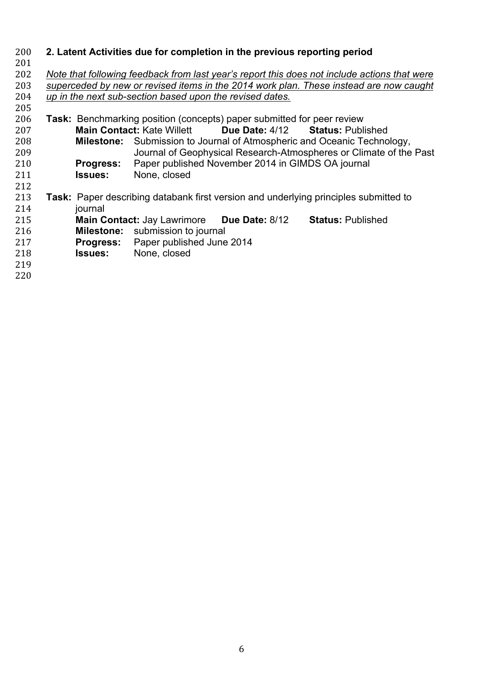| 200 |                  |                                                          | 2. Latent Activities due for completion in the previous reporting period      |                                                                                              |
|-----|------------------|----------------------------------------------------------|-------------------------------------------------------------------------------|----------------------------------------------------------------------------------------------|
| 201 |                  |                                                          |                                                                               |                                                                                              |
| 202 |                  |                                                          |                                                                               | Note that following feedback from last year's report this does not include actions that were |
| 203 |                  |                                                          |                                                                               | superceded by new or revised items in the 2014 work plan. These instead are now caught       |
| 204 |                  | up in the next sub-section based upon the revised dates. |                                                                               |                                                                                              |
| 205 |                  |                                                          |                                                                               |                                                                                              |
| 206 |                  |                                                          | <b>Task:</b> Benchmarking position (concepts) paper submitted for peer review |                                                                                              |
| 207 |                  | <b>Main Contact: Kate Willett</b>                        |                                                                               | Due Date: 4/12 Status: Published                                                             |
| 208 |                  |                                                          |                                                                               | <b>Milestone:</b> Submission to Journal of Atmospheric and Oceanic Technology,               |
| 209 |                  |                                                          |                                                                               | Journal of Geophysical Research-Atmospheres or Climate of the Past                           |
| 210 | <b>Progress:</b> |                                                          | Paper published November 2014 in GIMDS OA journal                             |                                                                                              |
| 211 | <b>Issues:</b>   | None, closed                                             |                                                                               |                                                                                              |
| 212 |                  |                                                          |                                                                               |                                                                                              |
| 213 |                  |                                                          |                                                                               | Task: Paper describing databank first version and underlying principles submitted to         |
| 214 | journal          |                                                          |                                                                               |                                                                                              |
| 215 |                  |                                                          | <b>Main Contact: Jay Lawrimore Due Date: 8/12</b>                             | <b>Status: Published</b>                                                                     |
| 216 |                  | <b>Milestone:</b> submission to journal                  |                                                                               |                                                                                              |
| 217 |                  | <b>Progress:</b> Paper published June 2014               |                                                                               |                                                                                              |
| 218 | <b>Issues:</b>   | None, closed                                             |                                                                               |                                                                                              |
| 219 |                  |                                                          |                                                                               |                                                                                              |
| 220 |                  |                                                          |                                                                               |                                                                                              |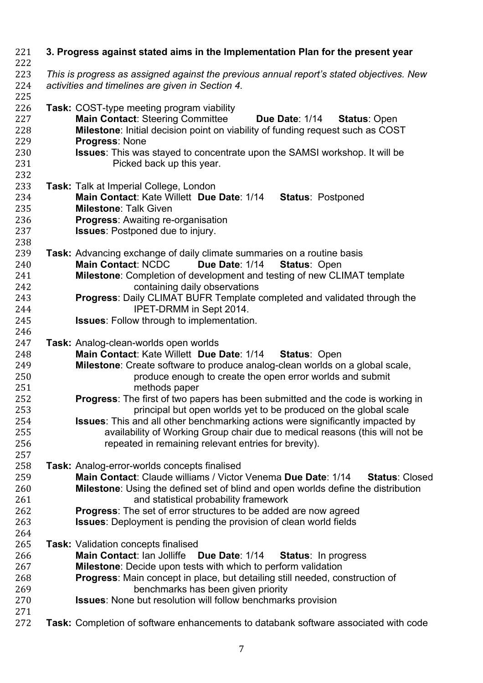| 221<br>222        | 3. Progress against stated aims in the Implementation Plan for the present year                                                                            |
|-------------------|------------------------------------------------------------------------------------------------------------------------------------------------------------|
| 223               | This is progress as assigned against the previous annual report's stated objectives. New                                                                   |
| 224<br>225        | activities and timelines are given in Section 4.                                                                                                           |
| 226<br>227        | <b>Task: COST-type meeting program viability</b><br><b>Main Contact: Steering Committee</b><br>Due Date: 1/14 Status: Open                                 |
| 228<br>229        | Milestone: Initial decision point on viability of funding request such as COST<br>Progress: None                                                           |
| 230<br>231<br>232 | <b>Issues:</b> This was stayed to concentrate upon the SAMSI workshop. It will be<br>Picked back up this year.                                             |
| 233               | Task: Talk at Imperial College, London                                                                                                                     |
| 234<br>235        | Main Contact: Kate Willett Due Date: 1/14<br><b>Status: Postponed</b><br><b>Milestone: Talk Given</b>                                                      |
| 236<br>237        | <b>Progress: Awaiting re-organisation</b><br><b>Issues:</b> Postponed due to injury.                                                                       |
| 238               |                                                                                                                                                            |
| 239               | Task: Advancing exchange of daily climate summaries on a routine basis                                                                                     |
| 240               | <b>Main Contact: NCDC</b><br>Due Date: 1/14<br><b>Status: Open</b>                                                                                         |
| 241               | Milestone: Completion of development and testing of new CLIMAT template                                                                                    |
| 242<br>243        | containing daily observations<br><b>Progress: Daily CLIMAT BUFR Template completed and validated through the</b>                                           |
| 244               | IPET-DRMM in Sept 2014.                                                                                                                                    |
| 245               | <b>Issues:</b> Follow through to implementation.                                                                                                           |
| 246               |                                                                                                                                                            |
| 247               | Task: Analog-clean-worlds open worlds                                                                                                                      |
| 248               | Main Contact: Kate Willett Due Date: 1/14<br><b>Status: Open</b>                                                                                           |
| 249               | Milestone: Create software to produce analog-clean worlds on a global scale,                                                                               |
| 250<br>251        | produce enough to create the open error worlds and submit<br>methods paper                                                                                 |
| 252<br>253        | <b>Progress:</b> The first of two papers has been submitted and the code is working in<br>principal but open worlds yet to be produced on the global scale |
| 254               | <b>Issues:</b> This and all other benchmarking actions were significantly impacted by                                                                      |
| 255               | availability of Working Group chair due to medical reasons (this will not be                                                                               |
| 256               | repeated in remaining relevant entries for brevity).                                                                                                       |
| 257               |                                                                                                                                                            |
| 258               | <b>Task:</b> Analog-error-worlds concepts finalised                                                                                                        |
| 259               | Main Contact: Claude williams / Victor Venema Due Date: 1/14<br><b>Status: Closed</b>                                                                      |
| 260               | Milestone: Using the defined set of blind and open worlds define the distribution                                                                          |
| 261               | and statistical probability framework                                                                                                                      |
| 262               | <b>Progress:</b> The set of error structures to be added are now agreed                                                                                    |
| 263<br>264        | <b>Issues:</b> Deployment is pending the provision of clean world fields                                                                                   |
| 265               | <b>Task: Validation concepts finalised</b>                                                                                                                 |
| 266               | Main Contact: Ian Jolliffe<br><b>Status: In progress</b><br>Due Date: 1/14                                                                                 |
| 267               | <b>Milestone:</b> Decide upon tests with which to perform validation                                                                                       |
| 268               | Progress: Main concept in place, but detailing still needed, construction of                                                                               |
| 269               | benchmarks has been given priority                                                                                                                         |
| 270               | <b>Issues:</b> None but resolution will follow benchmarks provision                                                                                        |
| 271               |                                                                                                                                                            |
| 272               | Task: Completion of software enhancements to databank software associated with code                                                                        |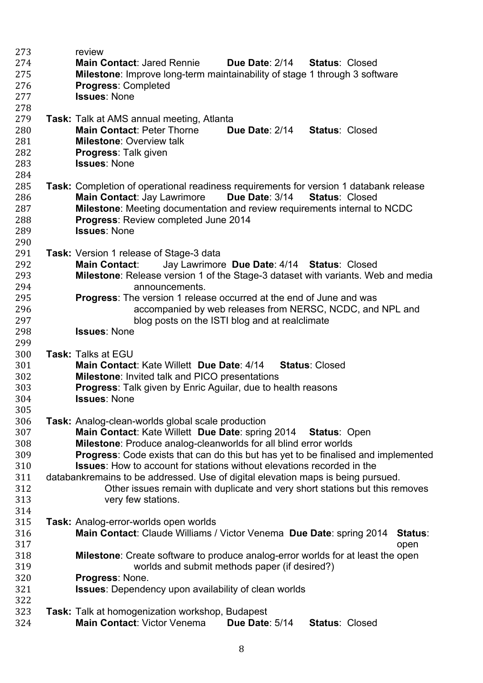| 273        | review                                                                                    |
|------------|-------------------------------------------------------------------------------------------|
| 274        | <b>Main Contact: Jared Rennie</b><br>Due Date: 2/14<br><b>Status: Closed</b>              |
| 275        | <b>Milestone:</b> Improve long-term maintainability of stage 1 through 3 software         |
| 276        | <b>Progress: Completed</b>                                                                |
| 277        | <b>Issues: None</b>                                                                       |
| 278        |                                                                                           |
| 279        | <b>Task:</b> Talk at AMS annual meeting, Atlanta                                          |
| 280        | <b>Main Contact: Peter Thorne</b><br><b>Due Date: 2/14</b><br><b>Status: Closed</b>       |
| 281        | <b>Milestone: Overview talk</b>                                                           |
| 282        | <b>Progress: Talk given</b>                                                               |
| 283        | <b>Issues: None</b>                                                                       |
| 284        |                                                                                           |
| 285        | Task: Completion of operational readiness requirements for version 1 databank release     |
| 286        | <b>Main Contact: Jay Lawrimore</b><br><b>Due Date: 3/14</b><br><b>Status: Closed</b>      |
| 287        | <b>Milestone:</b> Meeting documentation and review requirements internal to NCDC          |
| 288        | Progress: Review completed June 2014                                                      |
| 289        | <b>Issues: None</b>                                                                       |
| 290        |                                                                                           |
| 291        | Task: Version 1 release of Stage-3 data                                                   |
| 292        | <b>Main Contact:</b><br>Jay Lawrimore Due Date: 4/14 Status: Closed                       |
| 293        | <b>Milestone:</b> Release version 1 of the Stage-3 dataset with variants. Web and media   |
|            | announcements.                                                                            |
| 294<br>295 | <b>Progress:</b> The version 1 release occurred at the end of June and was                |
| 296        | accompanied by web releases from NERSC, NCDC, and NPL and                                 |
| 297        | blog posts on the ISTI blog and at realclimate                                            |
| 298        | <b>Issues: None</b>                                                                       |
| 299        |                                                                                           |
| 300        | Task: Talks at EGU                                                                        |
| 301        | Main Contact: Kate Willett Due Date: 4/14<br><b>Status: Closed</b>                        |
| 302        | <b>Milestone: Invited talk and PICO presentations</b>                                     |
| 303        | <b>Progress:</b> Talk given by Enric Aguilar, due to health reasons                       |
| 304        | <b>Issues: None</b>                                                                       |
| 305        |                                                                                           |
| 306        | <b>Task:</b> Analog-clean-worlds global scale production                                  |
| 307        | Main Contact: Kate Willett Due Date: spring 2014<br><b>Status: Open</b>                   |
| 308        | Milestone: Produce analog-cleanworlds for all blind error worlds                          |
| 309        | <b>Progress:</b> Code exists that can do this but has yet to be finalised and implemented |
| 310        | <b>Issues:</b> How to account for stations without elevations recorded in the             |
| 311        | databankremains to be addressed. Use of digital elevation maps is being pursued.          |
| 312        | Other issues remain with duplicate and very short stations but this removes               |
| 313        | very few stations.                                                                        |
| 314        |                                                                                           |
| 315        | Task: Analog-error-worlds open worlds                                                     |
| 316        | Main Contact: Claude Williams / Victor Venema Due Date: spring 2014<br>Status:            |
| 317        | open                                                                                      |
| 318        | Milestone: Create software to produce analog-error worlds for at least the open           |
| 319        | worlds and submit methods paper (if desired?)                                             |
| 320        | Progress: None.                                                                           |
| 321        | <b>Issues:</b> Dependency upon availability of clean worlds                               |
| 322        |                                                                                           |
| 323        | Task: Talk at homogenization workshop, Budapest                                           |
| 324        | Main Contact: Victor Venema<br>Due Date: 5/14<br><b>Status: Closed</b>                    |
|            |                                                                                           |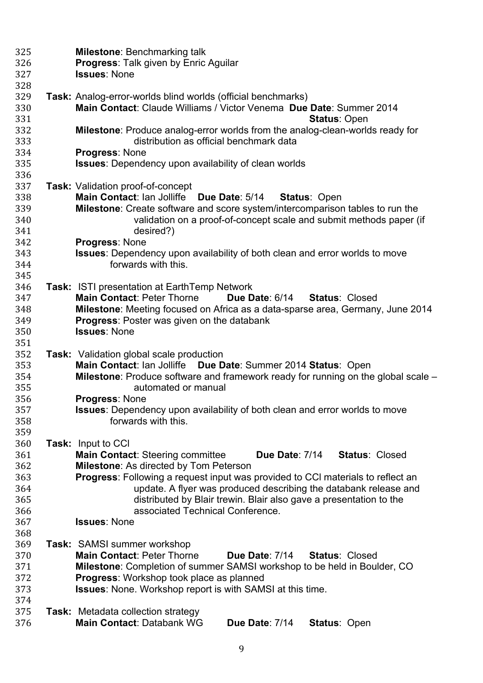| 325 | <b>Milestone: Benchmarking talk</b>                                                       |
|-----|-------------------------------------------------------------------------------------------|
| 326 | <b>Progress: Talk given by Enric Aguilar</b>                                              |
| 327 | <b>Issues: None</b>                                                                       |
| 328 |                                                                                           |
| 329 | Task: Analog-error-worlds blind worlds (official benchmarks)                              |
| 330 | Main Contact: Claude Williams / Victor Venema Due Date: Summer 2014                       |
| 331 | <b>Status: Open</b>                                                                       |
| 332 | Milestone: Produce analog-error worlds from the analog-clean-worlds ready for             |
| 333 | distribution as official benchmark data                                                   |
| 334 | Progress: None                                                                            |
| 335 | <b>Issues:</b> Dependency upon availability of clean worlds                               |
| 336 |                                                                                           |
| 337 | <b>Task: Validation proof-of-concept</b>                                                  |
| 338 | Main Contact: Ian Jolliffe Due Date: 5/14 Status: Open                                    |
| 339 | Milestone: Create software and score system/intercomparison tables to run the             |
| 340 | validation on a proof-of-concept scale and submit methods paper (if                       |
| 341 | desired?)                                                                                 |
| 342 | <b>Progress: None</b>                                                                     |
| 343 | <b>Issues:</b> Dependency upon availability of both clean and error worlds to move        |
| 344 | forwards with this.                                                                       |
| 345 |                                                                                           |
| 346 | Task: ISTI presentation at Earth Temp Network                                             |
| 347 | <b>Main Contact: Peter Thorne</b><br>Due Date: 6/14<br><b>Status: Closed</b>              |
| 348 | Milestone: Meeting focused on Africa as a data-sparse area, Germany, June 2014            |
| 349 | <b>Progress: Poster was given on the databank</b>                                         |
| 350 | <b>Issues: None</b>                                                                       |
| 351 |                                                                                           |
| 352 | <b>Task:</b> Validation global scale production                                           |
| 353 | Main Contact: Ian Jolliffe Due Date: Summer 2014 Status: Open                             |
| 354 | <b>Milestone</b> : Produce software and framework ready for running on the global scale – |
| 355 | automated or manual                                                                       |
| 356 | Progress: None                                                                            |
| 357 | <b>Issues:</b> Dependency upon availability of both clean and error worlds to move        |
| 358 | forwards with this.                                                                       |
| 359 |                                                                                           |
| 360 | <b>Task:</b> Input to CCI                                                                 |
| 361 | <b>Main Contact: Steering committee</b><br>Due Date: 7/14<br><b>Status: Closed</b>        |
| 362 | <b>Milestone: As directed by Tom Peterson</b>                                             |
| 363 | <b>Progress:</b> Following a request input was provided to CCI materials to reflect an    |
| 364 | update. A flyer was produced describing the databank release and                          |
| 365 | distributed by Blair trewin. Blair also gave a presentation to the                        |
| 366 | associated Technical Conference.                                                          |
| 367 | <b>Issues: None</b>                                                                       |
| 368 |                                                                                           |
| 369 | <b>Task: SAMSI summer workshop</b>                                                        |
| 370 | <b>Main Contact: Peter Thorne</b><br>Due Date: 7/14<br><b>Status: Closed</b>              |
| 371 | Milestone: Completion of summer SAMSI workshop to be held in Boulder, CO                  |
| 372 | <b>Progress:</b> Workshop took place as planned                                           |
| 373 | <b>Issues:</b> None. Workshop report is with SAMSI at this time.                          |
| 374 |                                                                                           |
| 375 | <b>Task:</b> Metadata collection strategy                                                 |
| 376 | <b>Main Contact: Databank WG</b><br>Due Date: 7/14<br><b>Status: Open</b>                 |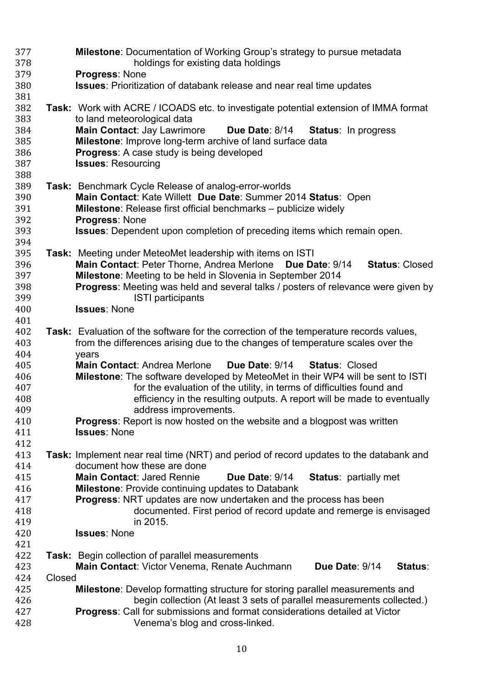| 377        |        | <b>Milestone:</b> Documentation of Working Group's strategy to pursue metadata                                                                                  |
|------------|--------|-----------------------------------------------------------------------------------------------------------------------------------------------------------------|
| 378        |        | holdings for existing data holdings                                                                                                                             |
| 379        |        | <b>Progress: None</b>                                                                                                                                           |
| 380        |        | <b>Issues:</b> Prioritization of databank release and near real time updates                                                                                    |
| 381        |        |                                                                                                                                                                 |
| 382        |        | Task: Work with ACRE / ICOADS etc. to investigate potential extension of IMMA format                                                                            |
| 383        |        | to land meteorological data                                                                                                                                     |
| 384        |        | <b>Main Contact: Jay Lawrimore</b><br>Due Date: 8/14 Status: In progress                                                                                        |
| 385        |        | Milestone: Improve long-term archive of land surface data                                                                                                       |
| 386        |        | <b>Progress:</b> A case study is being developed                                                                                                                |
| 387        |        | <b>Issues: Resourcing</b>                                                                                                                                       |
| 388        |        |                                                                                                                                                                 |
| 389        |        | Task: Benchmark Cycle Release of analog-error-worlds                                                                                                            |
| 390        |        | Main Contact: Kate Willett Due Date: Summer 2014 Status: Open                                                                                                   |
| 391        |        | Milestone: Release first official benchmarks - publicize widely                                                                                                 |
| 392        |        | <b>Progress: None</b>                                                                                                                                           |
| 393        |        | <b>Issues:</b> Dependent upon completion of preceding items which remain open.                                                                                  |
| 394        |        |                                                                                                                                                                 |
| 395        |        | Task: Meeting under MeteoMet leadership with items on ISTI                                                                                                      |
| 396        |        | Main Contact: Peter Thorne, Andrea Merlone<br>Due Date: 9/14<br><b>Status: Closed</b>                                                                           |
| 397        |        | Milestone: Meeting to be held in Slovenia in September 2014                                                                                                     |
| 398        |        | <b>Progress:</b> Meeting was held and several talks / posters of relevance were given by                                                                        |
| 399        |        | <b>ISTI</b> participants                                                                                                                                        |
| 400        |        | <b>Issues: None</b>                                                                                                                                             |
| 401        |        |                                                                                                                                                                 |
| 402        |        | Task: Evaluation of the software for the correction of the temperature records values,                                                                          |
| 403        |        | from the differences arising due to the changes of temperature scales over the                                                                                  |
| 404        |        | years<br><b>Main Contact: Andrea Merlone</b>                                                                                                                    |
| 405        |        | Due Date: 9/14<br><b>Status: Closed</b>                                                                                                                         |
| 406        |        | <b>Milestone:</b> The software developed by MeteoMet in their WP4 will be sent to ISTI<br>for the evaluation of the utility, in terms of difficulties found and |
| 407<br>408 |        | efficiency in the resulting outputs. A report will be made to eventually                                                                                        |
| 409        |        | address improvements.                                                                                                                                           |
| 410        |        | <b>Progress:</b> Report is now hosted on the website and a blogpost was written                                                                                 |
| 411        |        | <b>Issues: None</b>                                                                                                                                             |
| 412        |        |                                                                                                                                                                 |
| 413        |        | <b>Task:</b> Implement near real time (NRT) and period of record updates to the databank and                                                                    |
| 414        |        | document how these are done                                                                                                                                     |
| 415        |        | <b>Main Contact: Jared Rennie</b><br>Due Date: 9/14<br><b>Status: partially met</b>                                                                             |
| 416        |        | <b>Milestone:</b> Provide continuing updates to Databank                                                                                                        |
| 417        |        | <b>Progress:</b> NRT updates are now undertaken and the process has been                                                                                        |
| 418        |        | documented. First period of record update and remerge is envisaged                                                                                              |
| 419        |        | in 2015.                                                                                                                                                        |
| 420        |        | <b>Issues: None</b>                                                                                                                                             |
| 421        |        |                                                                                                                                                                 |
| 422        |        | Task: Begin collection of parallel measurements                                                                                                                 |
| 423        |        | Main Contact: Victor Venema, Renate Auchmann<br>Due Date: 9/14<br>Status:                                                                                       |
| 424        | Closed |                                                                                                                                                                 |
| 425        |        | <b>Milestone:</b> Develop formatting structure for storing parallel measurements and                                                                            |
| 426        |        | begin collection (At least 3 sets of parallel measurements collected.)                                                                                          |
| 427        |        | <b>Progress:</b> Call for submissions and format considerations detailed at Victor                                                                              |
| 428        |        | Venema's blog and cross-linked.                                                                                                                                 |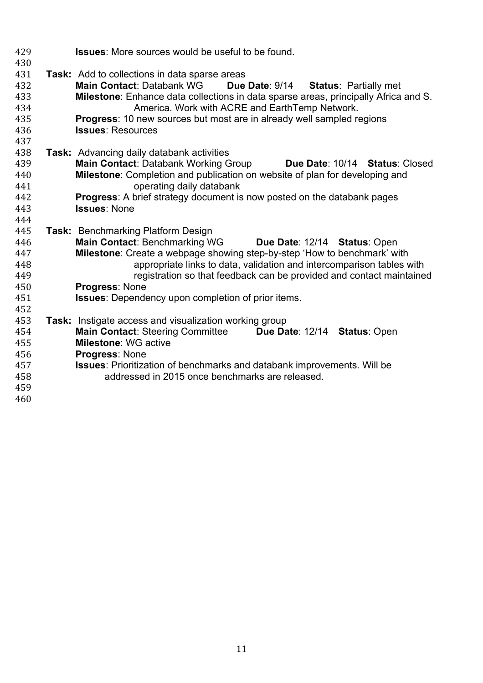| 429 | <b>Issues:</b> More sources would be useful to be found.                            |
|-----|-------------------------------------------------------------------------------------|
| 430 |                                                                                     |
| 431 | <b>Task:</b> Add to collections in data sparse areas                                |
| 432 | <b>Main Contact: Databank WG</b><br>Due Date: 9/14<br><b>Status: Partially met</b>  |
| 433 | Milestone: Enhance data collections in data sparse areas, principally Africa and S. |
| 434 | America. Work with ACRE and EarthTemp Network.                                      |
| 435 | <b>Progress:</b> 10 new sources but most are in already well sampled regions        |
| 436 | <b>Issues: Resources</b>                                                            |
| 437 |                                                                                     |
| 438 | <b>Task:</b> Advancing daily databank activities                                    |
| 439 | <b>Main Contact: Databank Working Group</b><br>Due Date: 10/14 Status: Closed       |
| 440 | Milestone: Completion and publication on website of plan for developing and         |
| 441 | operating daily databank                                                            |
| 442 | <b>Progress:</b> A brief strategy document is now posted on the databank pages      |
| 443 | <b>Issues: None</b>                                                                 |
| 444 |                                                                                     |
| 445 | Task: Benchmarking Platform Design                                                  |
| 446 | <b>Main Contact: Benchmarking WG</b><br>Due Date: 12/14 Status: Open                |
| 447 | Milestone: Create a webpage showing step-by-step 'How to benchmark' with            |
| 448 | appropriate links to data, validation and intercomparison tables with               |
| 449 | registration so that feedback can be provided and contact maintained                |
| 450 | Progress: None                                                                      |
| 451 | <b>Issues:</b> Dependency upon completion of prior items.                           |
| 452 |                                                                                     |
| 453 | Task: Instigate access and visualization working group                              |
| 454 | <b>Main Contact: Steering Committee</b><br>Due Date: 12/14 Status: Open             |
| 455 | <b>Milestone: WG active</b>                                                         |
| 456 | Progress: None                                                                      |
| 457 | <b>Issues:</b> Prioritization of benchmarks and databank improvements. Will be      |
| 458 | addressed in 2015 once benchmarks are released.                                     |
| 459 |                                                                                     |
| 460 |                                                                                     |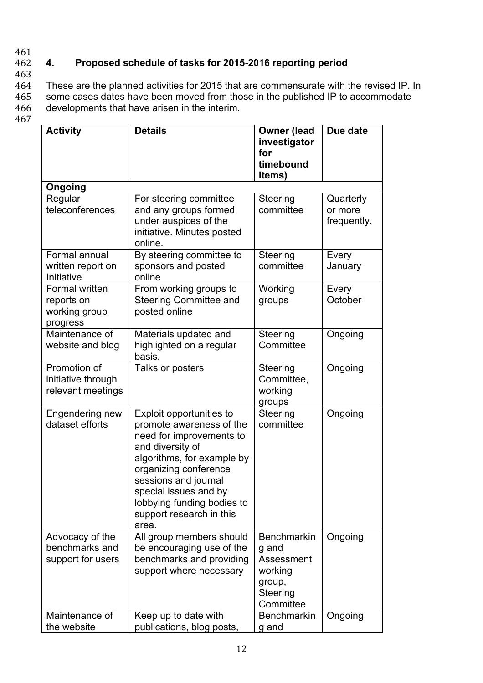## 461

# 462 **4. Proposed schedule of tasks for 2015-2016 reporting period**

463

464 These are the planned activities for 2015 that are commensurate with the revised IP. In 465 some cases dates have been moved from those in the published IP to accommodate 466 developments that have arisen in the interim.

467

| <b>Activity</b>                                           | <b>Details</b>                                                                                                                                                                                                                                                                  | <b>Owner (lead</b><br>investigator<br>for<br>timebound<br>items)                        | Due date                            |
|-----------------------------------------------------------|---------------------------------------------------------------------------------------------------------------------------------------------------------------------------------------------------------------------------------------------------------------------------------|-----------------------------------------------------------------------------------------|-------------------------------------|
| Ongoing                                                   |                                                                                                                                                                                                                                                                                 |                                                                                         |                                     |
| Regular<br>teleconferences                                | For steering committee<br>and any groups formed<br>under auspices of the<br>initiative. Minutes posted<br>online.                                                                                                                                                               | Steering<br>committee                                                                   | Quarterly<br>or more<br>frequently. |
| Formal annual<br>written report on<br>Initiative          | By steering committee to<br>sponsors and posted<br>online                                                                                                                                                                                                                       | Steering<br>committee                                                                   | Every<br>January                    |
| Formal written<br>reports on<br>working group<br>progress | From working groups to<br><b>Steering Committee and</b><br>posted online                                                                                                                                                                                                        | Working<br>groups                                                                       | Every<br>October                    |
| Maintenance of<br>website and blog                        | Materials updated and<br>highlighted on a regular<br>basis.                                                                                                                                                                                                                     | <b>Steering</b><br>Committee                                                            | Ongoing                             |
| Promotion of<br>initiative through<br>relevant meetings   | Talks or posters                                                                                                                                                                                                                                                                | Steering<br>Committee,<br>working<br>groups                                             | Ongoing                             |
| Engendering new<br>dataset efforts                        | Exploit opportunities to<br>promote awareness of the<br>need for improvements to<br>and diversity of<br>algorithms, for example by<br>organizing conference<br>sessions and journal<br>special issues and by<br>lobbying funding bodies to<br>support research in this<br>area. | Steering<br>committee                                                                   | Ongoing                             |
| Advocacy of the<br>benchmarks and<br>support for users    | All group members should<br>be encouraging use of the<br>benchmarks and providing<br>support where necessary                                                                                                                                                                    | <b>Benchmarkin</b><br>g and<br>Assessment<br>working<br>group,<br>Steering<br>Committee | Ongoing                             |
| Maintenance of<br>the website                             | Keep up to date with<br>publications, blog posts,                                                                                                                                                                                                                               | <b>Benchmarkin</b><br>g and                                                             | Ongoing                             |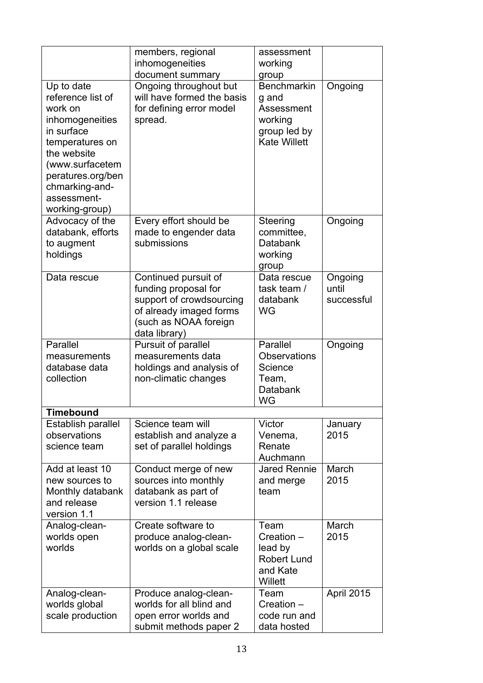|                                                                                                                                                                                                          | members, regional<br>inhomogeneities<br>document summary                                                                                      | assessment<br>working<br>group                                                              |                                |
|----------------------------------------------------------------------------------------------------------------------------------------------------------------------------------------------------------|-----------------------------------------------------------------------------------------------------------------------------------------------|---------------------------------------------------------------------------------------------|--------------------------------|
| Up to date<br>reference list of<br>work on<br>inhomogeneities<br>in surface<br>temperatures on<br>the website<br>(www.surfacetem<br>peratures.org/ben<br>chmarking-and-<br>assessment-<br>working-group) | Ongoing throughout but<br>will have formed the basis<br>for defining error model<br>spread.                                                   | <b>Benchmarkin</b><br>g and<br>Assessment<br>working<br>group led by<br><b>Kate Willett</b> | Ongoing                        |
| Advocacy of the<br>databank, efforts<br>to augment<br>holdings                                                                                                                                           | Every effort should be<br>made to engender data<br>submissions                                                                                | Steering<br>committee.<br>Databank<br>working<br>group                                      | Ongoing                        |
| Data rescue                                                                                                                                                                                              | Continued pursuit of<br>funding proposal for<br>support of crowdsourcing<br>of already imaged forms<br>(such as NOAA foreign<br>data library) | Data rescue<br>task team /<br>databank<br><b>WG</b>                                         | Ongoing<br>until<br>successful |
| Parallel<br>measurements<br>database data<br>collection                                                                                                                                                  | Pursuit of parallel<br>measurements data<br>holdings and analysis of<br>non-climatic changes                                                  | Parallel<br><b>Observations</b><br>Science<br>Team,<br>Databank<br>WG                       | Ongoing                        |
| <b>Timebound</b>                                                                                                                                                                                         |                                                                                                                                               |                                                                                             |                                |
| Establish parallel<br>observations<br>science team                                                                                                                                                       | Science team will<br>establish and analyze a<br>set of parallel holdings                                                                      | Victor<br>Venema,<br>Renate<br>Auchmann                                                     | January<br>2015                |
| Add at least 10<br>new sources to<br>Monthly databank<br>and release<br>version 1.1                                                                                                                      | Conduct merge of new<br>sources into monthly<br>databank as part of<br>version 1.1 release                                                    | <b>Jared Rennie</b><br>and merge<br>team                                                    | March<br>2015                  |
| Analog-clean-<br>worlds open<br>worlds                                                                                                                                                                   | Create software to<br>produce analog-clean-<br>worlds on a global scale                                                                       | Team<br>$C$ reation $-$<br>lead by<br><b>Robert Lund</b><br>and Kate<br>Willett             | March<br>2015                  |
| Analog-clean-<br>worlds global<br>scale production                                                                                                                                                       | Produce analog-clean-<br>worlds for all blind and<br>open error worlds and<br>submit methods paper 2                                          | Team<br>Creation -<br>code run and<br>data hosted                                           | April 2015                     |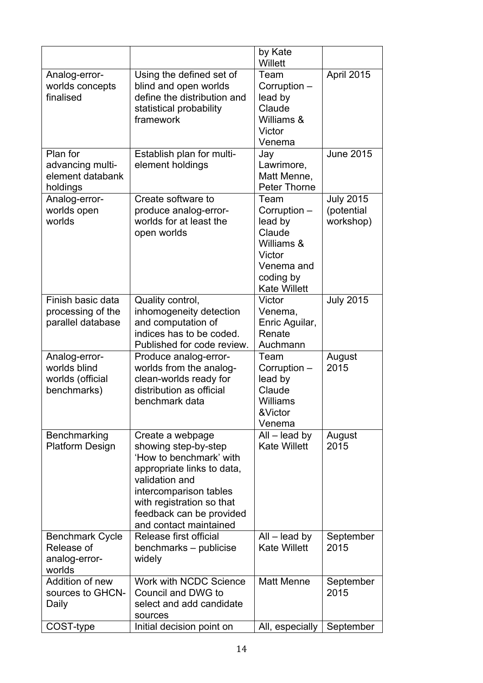|                                                                  |                                                                                                                                                                                                                                  | by Kate<br>Willett                                                                                                  |                                             |
|------------------------------------------------------------------|----------------------------------------------------------------------------------------------------------------------------------------------------------------------------------------------------------------------------------|---------------------------------------------------------------------------------------------------------------------|---------------------------------------------|
| Analog-error-<br>worlds concepts<br>finalised                    | Using the defined set of<br>blind and open worlds<br>define the distribution and<br>statistical probability<br>framework                                                                                                         | Team<br>Corruption -<br>lead by<br>Claude<br>Williams &<br>Victor<br>Venema                                         | April 2015                                  |
| Plan for<br>advancing multi-<br>element databank<br>holdings     | Establish plan for multi-<br>element holdings                                                                                                                                                                                    | Jay<br>Lawrimore,<br>Matt Menne,<br><b>Peter Thorne</b>                                                             | <b>June 2015</b>                            |
| Analog-error-<br>worlds open<br>worlds                           | Create software to<br>produce analog-error-<br>worlds for at least the<br>open worlds                                                                                                                                            | Team<br>Corruption -<br>lead by<br>Claude<br>Williams &<br>Victor<br>Venema and<br>coding by<br><b>Kate Willett</b> | <b>July 2015</b><br>(potential<br>workshop) |
| Finish basic data<br>processing of the<br>parallel database      | Quality control,<br>inhomogeneity detection<br>and computation of<br>indices has to be coded.<br>Published for code review.                                                                                                      | Victor<br>Venema,<br>Enric Aguilar,<br>Renate<br>Auchmann                                                           | <b>July 2015</b>                            |
| Analog-error-<br>worlds blind<br>worlds (official<br>benchmarks) | Produce analog-error-<br>worlds from the analog-<br>clean-worlds ready for<br>distribution as official<br>benchmark data                                                                                                         | Team<br>Corruption -<br>lead by<br>Claude<br>Williams<br>&Victor<br>Venema                                          | August<br>2015                              |
| Benchmarking<br><b>Platform Design</b>                           | Create a webpage<br>showing step-by-step<br>'How to benchmark' with<br>appropriate links to data,<br>validation and<br>intercomparison tables<br>with registration so that<br>feedback can be provided<br>and contact maintained | $All$ – lead by<br><b>Kate Willett</b>                                                                              | August<br>2015                              |
| <b>Benchmark Cycle</b><br>Release of<br>analog-error-<br>worlds  | Release first official<br>benchmarks – publicise<br>widely                                                                                                                                                                       | $All$ – lead by<br><b>Kate Willett</b>                                                                              | September<br>2015                           |
| Addition of new<br>sources to GHCN-<br>Daily                     | <b>Work with NCDC Science</b><br>Council and DWG to<br>select and add candidate<br>sources                                                                                                                                       | <b>Matt Menne</b>                                                                                                   | September<br>2015                           |
| COST-type                                                        | Initial decision point on                                                                                                                                                                                                        | All, especially                                                                                                     | September                                   |